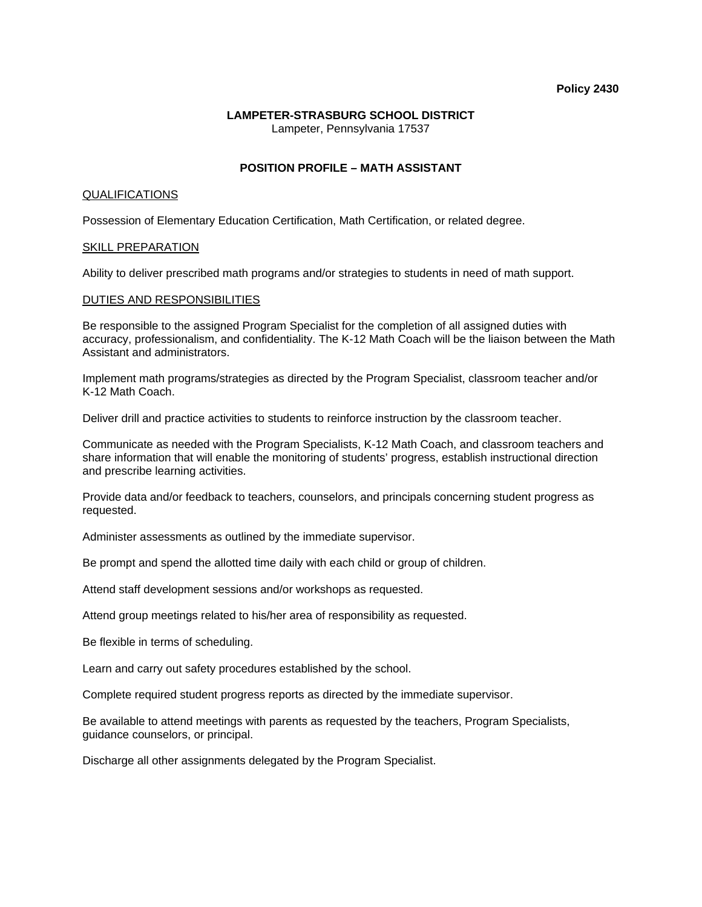#### **Policy 2430**

# **LAMPETER-STRASBURG SCHOOL DISTRICT**

Lampeter, Pennsylvania 17537

## **POSITION PROFILE – MATH ASSISTANT**

#### QUALIFICATIONS

Possession of Elementary Education Certification, Math Certification, or related degree.

#### SKILL PREPARATION

Ability to deliver prescribed math programs and/or strategies to students in need of math support.

#### DUTIES AND RESPONSIBILITIES

Be responsible to the assigned Program Specialist for the completion of all assigned duties with accuracy, professionalism, and confidentiality. The K-12 Math Coach will be the liaison between the Math Assistant and administrators.

Implement math programs/strategies as directed by the Program Specialist, classroom teacher and/or K-12 Math Coach.

Deliver drill and practice activities to students to reinforce instruction by the classroom teacher.

Communicate as needed with the Program Specialists, K-12 Math Coach, and classroom teachers and share information that will enable the monitoring of students' progress, establish instructional direction and prescribe learning activities.

Provide data and/or feedback to teachers, counselors, and principals concerning student progress as requested.

Administer assessments as outlined by the immediate supervisor.

Be prompt and spend the allotted time daily with each child or group of children.

Attend staff development sessions and/or workshops as requested.

Attend group meetings related to his/her area of responsibility as requested.

Be flexible in terms of scheduling.

Learn and carry out safety procedures established by the school.

Complete required student progress reports as directed by the immediate supervisor.

Be available to attend meetings with parents as requested by the teachers, Program Specialists, guidance counselors, or principal.

Discharge all other assignments delegated by the Program Specialist.